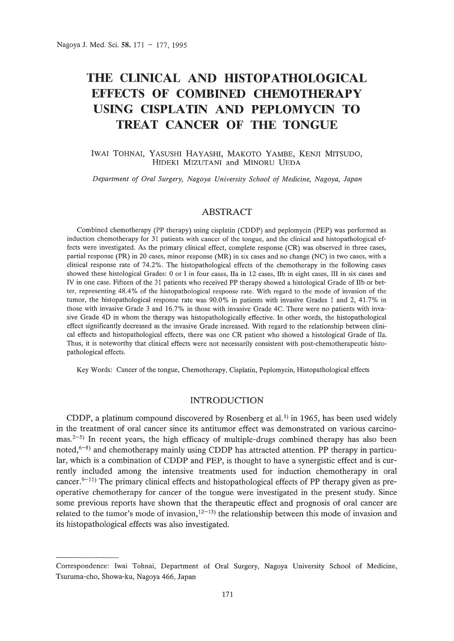# **THE CLINICAL AND HISTOPATHOLOGICAL EFFECTS OF COMBINED CHEMOTHERAPY USING CISPLATIN AND PEPLOMYCIN TO TREAT CANCER OF THE TONGUE**

## IWAI TOHNAI, YASUSHI HAYASHI, MAKOTO YAMBE, KENJI MITSUDO, HIDEKI MIZUTANI and MINORU VEDA

*Department of Oral Surgery, Nagoya University School of Medicine, Nagoya, Japan*

# ABSTRACT

Combined chemotherapy (PP therapy) using cisplatin (CDDP) and peplomycin (PEP) was performed as induction chemotherapy for 31 patients with cancer of the tongue, and the clinical and histopathological effects were investigated. As the primary clinical effect, complete response (CR) was observed in three cases, partial response (PR) in 20 cases, minor response (MR) in six cases and no change (NC) in two cases, with a clinical response rate of 74.2%. The histopathological effects of the chemotherapy in the following cases showed these histological Grades: 0 or I in four cases, IIa in 12 cases, IIb in eight cases, III in six cases and IV in one case. Fifteen of the 31 patients who received PP therapy showed a histological Grade of IIb or better, representing 48.4% of the histopathological response rate. With regard to the mode of invasion of the tumor, the histopathological response rate was 90.0% in patients with invasive Grades 1 and 2, 41.7% in those with invasive Grade 3 and 16.7% in those with invasive Grade 4C. There were no patients with invasive Grade 4D in whom the therapy was histopathologically effective. In other words, the histopathological effect significantly decreased as the invasive Grade increased. With regard to the relationship between clinical effects and histopathological effects, there was one CR patient who showed a histological Grade of IIa. Thus, it is noteworthy that clinical effects were not necessarily consistent with post-chemotherapeutic histopathological effects.

Key Words: Cancer of the tongue, Chemotherapy, Cisplatin, Peplomycin, Histopathological effects

# INTRODUCTION

CDDP, a platinum compound discovered by Rosenberg et al.<sup>1)</sup> in 1965, has been used widely in the treatment of oral cancer since its antitumor effect was demonstrated on various carcinomas.<sup>2-5)</sup> In recent years, the high efficacy of multiple-drugs combined therapy has also been noted, $6-8$ ) and chemotherapy mainly using CDDP has attracted attention. PP therapy in particular, which is a combination of CDDP and PEP, is thought to have a synergistic effect and is currently included among the intensive treatments used for induction chemotherapy in oral cancer.<sup>9–11)</sup> The primary clinical effects and histopathological effects of PP therapy given as preoperative chemotherapy for cancer of the tongue were investigated in the present study. Since some previous reports have shown that the therapeutic effect and prognosis of oral cancer are related to the tumor's mode of invasion,  $12^{-13}$  the relationship between this mode of invasion and its histopathological effects was also investigated.

Correspondence: Iwai Tohnai, Department of Oral Surgery, Nagoya University School of Medicine, Tsuruma-cho, Showa-ku, Nagoya 466, Japan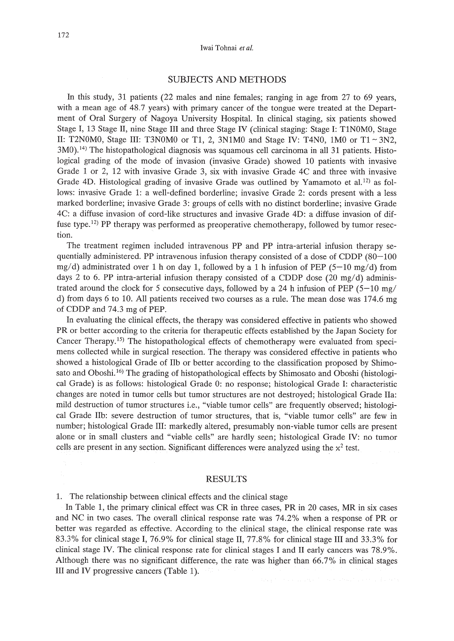### SUBJECTS AND METHODS

In this study, 31 patients (22 males and nine females; ranging in age from 27 to 69 years, with a mean age of 48.7 years) with primary cancer of the tongue were treated at the Department of Oral Surgery of Nagoya University Hospital. In clinical staging, six patients showed Stage I, 13 Stage II, nine Stage III and three Stage IV (clinical staging: Stage I: T1NOMO, Stage II: T2N0M0, Stage III: T3N0M0 or T1, 2, 3N1M0 and Stage IV: T4N0, 1M0 or T1  $\sim$  3N2,  $3M<sub>0</sub>$ ,  $<sup>14</sup>$  The histopathological diagnosis was squamous cell carcinoma in all 31 patients. Histo-</sup> logical grading of the mode of invasion (invasive Grade) showed 10 patients with invasive Grade 1 or 2, 12 with invasive Grade 3, six with invasive Grade 4C and three with invasive Grade 4D. Histological grading of invasive Grade was outlined by Yamamoto et al.<sup>12)</sup> as follows: invasive Grade 1: a well-defined borderline; invasive Grade 2: cords present with a less marked borderline; invasive Grade 3: groups of cells with no distinct borderline; invasive Grade 4C: a diffuse invasion of cord-like structures and invasive Grade 4D: a diffuse invasion of diffuse type.<sup>12)</sup> PP therapy was performed as preoperative chemotherapy, followed by tumor resection.

The treatment regimen included intravenous PP and PP intra-arterial infusion therapy sequentially administered. PP intravenous infusion therapy consisted of a dose of CDDP (80-100) mg/d) administrated over 1 h on day 1, followed by a 1 h infusion of PEP (5-10 mg/d) from days 2 to 6. PP intra-arterial infusion therapy consisted of a CDDP dose  $(20 \text{ mg/d})$  administrated around the clock for 5 consecutive days, followed by a 24 h infusion of PEP ( $5-10$  mg/ d) from days 6 to 10. All patients received two courses as a rule. The mean dose was 174.6 mg of CDDP and 74.3 mg of PEP.

In evaluating the clinical effects, the therapy was considered effective in patients who showed PR or better according to the criteria for therapeutic effects established by the Japan Society for Cancer Therapy.15) The histopathological effects of chemotherapy were evaluated from specimens collected while in surgical resection. The therapy was considered effective in patients who showed a histological Grade of lIb or better according to the classification proposed by Shimosato and Oboshi.<sup>16)</sup> The grading of histopathological effects by Shimosato and Oboshi (histological Grade) is as follows: histological Grade 0: no response; histological Grade I: characteristic changes are noted in tumor cells but tumor structures are not destroyed; histological Grade IIa: mild destruction of tumor structures i.e., "viable tumor cells" are frequently observed; histological Grade lIb: severe destruction of tumor structures, that is, "viable tumor cells" are few in number; histological Grade III: markedly altered, presumably non-viable tumor cells are present alone or in small clusters and "viable cells" are hardly seen; histological Grade IV: no tumor cells are present in any section. Significant differences were analyzed using the  $x^2$  test.

### RESULTS

1. The relationship between clinical effects and the clinical stage

In Table 1, the primary clinical effect was CR in three cases, PR in 20 cases, MR in six cases and NC in two cases. The overall clinical response rate was 74.2% when a response of PR or better was regarded as effective. According to the clinical stage, the clinical response rate was 83.3% for clinical stage I, 76.9% for clinical stage II, 77.8% for clinical stage III and 33.3% for clinical stage IV. The clinical response rate for clinical stages I and II early cancers was 78.9%. Although there was no significant difference, the rate was higher than 66.7% in clinical stages III and IV progressive cancers (Table 1).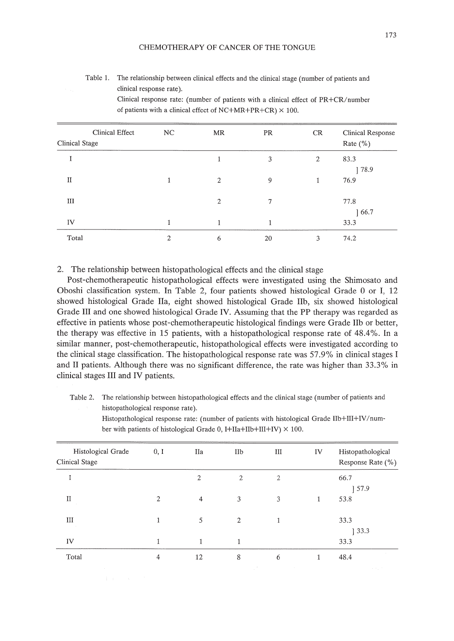| Clinical Effect<br>Clinical Stage | NC             | MR             | PR     | CR             | Clinical Response<br>Rate $(\%)$ |
|-----------------------------------|----------------|----------------|--------|----------------|----------------------------------|
| 1                                 |                |                | 3      | $\mathfrak{2}$ | 83.3<br>178.9                    |
| $\mathbf{I}$                      | 1              | $\overline{2}$ | 9      |                | 76.9                             |
| III                               |                | $\overline{2}$ | $\tau$ |                | 77.8<br>166.7                    |
| IV                                |                |                |        |                | 33.3                             |
| Total                             | $\overline{2}$ | 6              | 20     | 3              | 74.2                             |

Table 1. The relationship between clinical effects and the clinical stage (number of patients and clinical response rate).

Clinical response rate: (number of patients with a clinical effect of PR+CR/number of patients with a clinical effect of NC+MR+PR+CR)  $\times$  100.

# 2. The relationship between histopathological effects and the clinical stage

Post-chemotherapeutic histopathological effects were investigated using the Shimosato and Oboshi classification system. **In** Table 2, four patients showed histological Grade 0 or I, 12 showed histological Grade IIa, eight showed histological Grade IIb, six showed histological Grade III and one showed histological Grade **IV.** Assuming that the **PP** therapy was regarded as effective in patients whose post-chemotherapeutic histological findings were Grade **IIb** or better, the therapy was effective in 15 patients, with a histopathological response rate of 48.4%. **In** a similar manner, post-chemotherapeutic, histopathological effects were investigated according to the clinical stage classification. The histopathological response rate was 57.9% in clinical stages I and II patients. Although there was no significant difference, the rate was higher than 33.3% in clinical stages III and **IV** patients.

Table 2. The relationship between histopathological effects and the clinical stage (number of patients and histopathological response rate).

| Histological Grade<br>Clinical Stage | 0, 1           | IIa            | IIb                 | Ш                                                    | IV | Histopathological<br>Response Rate (%) |
|--------------------------------------|----------------|----------------|---------------------|------------------------------------------------------|----|----------------------------------------|
| $\bf{I}$                             |                | $\overline{2}$ | $\mathfrak{2}$      | $\overline{2}$                                       |    | 66.7<br>157.9                          |
| $\mathbf{I}$                         | $\overline{2}$ | $\overline{4}$ | 3                   | 3                                                    | 1  | 53.8                                   |
| III                                  |                | 5              | 2                   | 1                                                    |    | 33.3<br>33.3                           |
| IV                                   |                | 1              | 1                   |                                                      |    | 33.3                                   |
| Total                                | 4              | 12             | 8<br><b>COLLEGE</b> | 6<br>the contract of the contract of the contract of | 1  | 48.4                                   |

Histopathological response rate: (number of patients with histological Grade IIb+III+IV/number with patients of histological Grade 0,  $I+IIa+IIb+III+IV$ )  $\times$  100.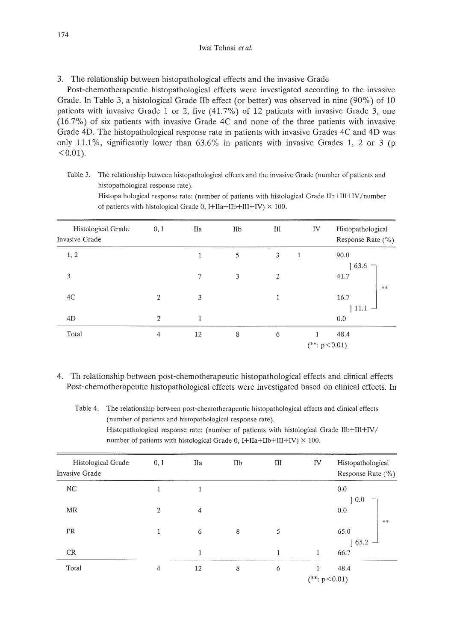3. The relationship between histopathological effects and the invasive Grade

of patients with histological Grade 0, I+IIa+IIb+III+IV)  $\times$  100.

Post-chemotherapeutic histopathological effects were investigated according to the invasive Grade. In Table 3, a histological Grade IIb effect (or better) was observed in nine (90%) of 10 patients with invasive Grade 1 or 2, five (41.7%) of 12 patients with invasive Grade 3, one (16.7%) of six patients with invasive Grade 4C and none of the three patients with invasive Grade 4D. The histopathological response rate in patients with invasive Grades 4C and 4D was only 11.1%, significantly lower than  $63.6\%$  in patients with invasive Grades 1, 2 or 3 (p  $< 0.01$ ).

Table 3. The relationship between histopathological effects and the invasive Grade (number of patients and histopathological response rate).

| Histological Grade<br><b>Invasive Grade</b> | 0, 1           | IIa | IIb | III            | IV               | Histopathological<br>Response Rate (%) |
|---------------------------------------------|----------------|-----|-----|----------------|------------------|----------------------------------------|
| 1, 2                                        |                | 1   | 5   | 3              | 1                | 90.0<br> 63.6                          |
| 3                                           |                | 7   | 3   | $\overline{2}$ |                  | 41.7<br>**                             |
| 4C                                          | 2              | 3   |     | 1              |                  | 16.7<br>$111.1 -$                      |
| 4D                                          | $\overline{2}$ | 1   |     |                |                  | 0.0                                    |
| Total                                       | $\overline{4}$ | 12  | 8   | 6              | $(**: p < 0.01)$ | 48.4                                   |

Histopathological response rate: (number of patients with histological Grade lIb+III+IV/number

4. Th relationship between post-chemotherapeutic histopathological effects and clinical effects Post-chemotherapeutic histopathological effects were investigated based on clinical effects. In

Table 4. The relationship between post-chemotherapentic histopathological effects and clinical effects (number of patients and histopathological response rate). Histopathological response rate: (number of patients with histological Grade lIb+III+IV/ number of patients with histological Grade 0, I+IIa+IIb+III+IV)  $\times$  100.

| Histological Grade<br>Invasive Grade | 0, I | IIa            | IIb | III          | IV               | Histopathological<br>Response Rate (%) |
|--------------------------------------|------|----------------|-----|--------------|------------------|----------------------------------------|
| NC                                   | 1    | 1              |     |              |                  | 0.0                                    |
|                                      |      |                |     |              |                  | 10.0                                   |
| MR                                   | 2    | $\overline{4}$ |     |              |                  | 0.0                                    |
|                                      |      |                |     |              |                  | **                                     |
| PR                                   | 1    | 6              | 8   | 5            |                  | 65.0                                   |
|                                      |      |                |     |              |                  | $165.2 -$                              |
| CR                                   |      | 1              |     | $\mathbf{1}$ | 1                | 66.7                                   |
| Total                                | 4    | 12             | 8   | 6            | 1                | 48.4                                   |
|                                      |      |                |     |              | $(**: p < 0.01)$ |                                        |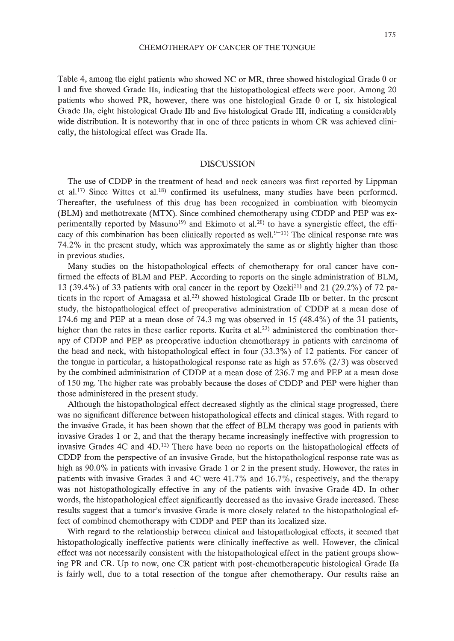Table 4, among the eight patients who showed NC or MR, three showed histological Grade 0 or I and five showed Grade IIa, indicating that the histopathological effects were poor. Among 20 patients who showed PR, however, there was one histological Grade 0 or I, six histological Grade IIa, eight histological Grade lIb and five histological Grade III, indicating a considerably wide distribution. It is noteworthy that in one of three patients in whom CR was achieved clinically, the histological effect was Grade IIa.

#### DISCUSSION

The use of CDDP in the treatment of head and neck cancers was first reported by Lippman et al.<sup>17)</sup> Since Wittes et al.<sup>18)</sup> confirmed its usefulness, many studies have been performed. Thereafter, the usefulness of this drug has been recognized in combination with bleomycin (BLM) and methotrexate (MTX). Since combined chemotherapy using CDDP and PEP was experimentally reported by Masuno<sup>19</sup>) and Ekimoto et al.<sup>20</sup> to have a synergistic effect, the efficacy of this combination has been clinically reported as well.<sup>9-11)</sup> The clinical response rate was 74.2% in the present study, which was approximately the same as or slightly higher than those in previous studies.

Many studies on the histopathological effects of chemotherapy for oral cancer have confirmed the effects of BLM and PEP. According to reports on the single administration of BLM, 13 (39.4%) of 33 patients with oral cancer in the report by Ozeki<sup>21</sup> and 21 (29.2%) of 72 patients in the report of Amagasa et al.<sup>22)</sup> showed histological Grade IIb or better. In the present study, the histopathological effect of preoperative administration of CDDP at a mean dose of 174.6 mg and PEP at a mean dose of 74.3 mg was observed in 15 (48.4%) of the 31 patients, higher than the rates in these earlier reports. Kurita et al.<sup>23)</sup> administered the combination therapy of CDDP and PEP as preoperative induction chemotherapy in patients with carcinoma of the head and neck, with histopathological effect in four (33.3%) of 12 patients. For cancer of the tongue in particular, a histopathological response rate as high as  $57.6\%$  (2/3) was observed by the combined administration of CDDP at a mean dose of 236.7 mg and PEP at a mean dose of 150 mg. The higher rate was probably because the doses of CDDP and PEP were higher than those administered in the present study.

Although the histopathological effect decreased slightly as the clinical stage progressed, there was no significant difference between histopathological effects and clinical stages. With regard to the invasive Grade, it has been shown that the effect of BLM therapy was good in patients with invasive Grades 1 or 2, and that the therapy became increasingly ineffective with progression to invasive Grades  $4C$  and  $4D<sup>12</sup>$ . There have been no reports on the histopathological effects of CDDP from the perspective of an invasive Grade, but the histopathological response rate was as high as  $90.0\%$  in patients with invasive Grade 1 or 2 in the present study. However, the rates in patients with invasive Grades 3 and 4C were 41.7% and 16.7%, respectively, and the therapy was not histopathologically effective in any of the patients with invasive Grade 4D. In other words, the histopathological effect significantly decreased as the invasive Grade increased. These results suggest that a tumor's invasive Grade is more closely related to the histopathological effect of combined chemotherapy with CDDP and PEP than its localized size.

With regard to the relationship between clinical and histopathological effects, it seemed that histopathologically ineffective patients were clinically ineffective as well. However, the clinical effect was not necessarily consistent with the histopathological effect in the patient groups showing PR and CR. Up to now, one CR patient with post-chemotherapeutic histological Grade IIa is fairly well, due to a total resection of the tongue after chemotherapy. Our results raise an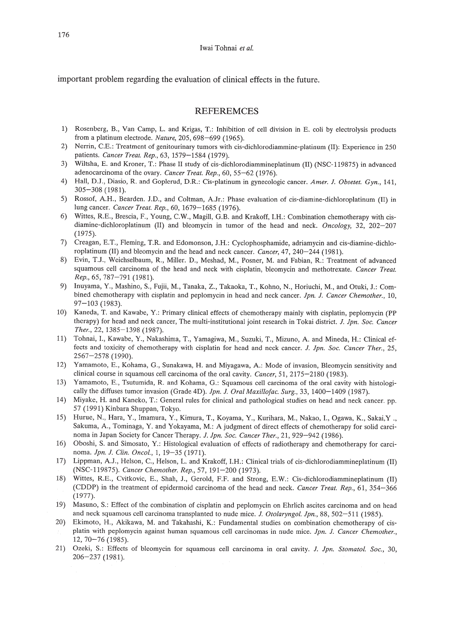important problem regarding the evaluation of clinical effects in the future.

# REFEREMCES

- 1) Rosenberg, B., Van Camp, L. and Krigas, T.: Inhibition of cell division in E. coli by electrolysis products from a platinum electrode. *Nature,* 205, 698-699 (1965).
- 2) Nerrin, C.E.: Treatment of genitourinary tumors with cis-dichlorodiammine-platinum (II): Experience in 250 patients. *Cancer Treat. Rep.,* 63, 1579-1584 (1979).
- 3) Wiltsha, E. and Kroner, T.: Phase II study of cis-dichlorodiammineplatinum (II) (NSC-119875) in advanced adenocarcinoma of the ovary. *Cancer Treat. Rep.,* 60, 55-62 (1976).
- 4) Hall, D.l., Diasio, R. and Goplerud, D.R.: Cis-platinum in gynecologic cancer. *Amer. l. Obsetet. Gyn.,* 141, 305-308 (1981).
- 5) Rossof, AH., Bearden. 1.D., and Coltman, A.lr.: Phase evaluation of cis-diamine-dichloroplatinum (II) in lung cancer. *Cancer Treat. Rep.,* 60,1679-1685 (1976).
- 6) Wittes, R.E., Brescia, F., Young, C.W., Magill, G.B. and Krakoff, I.H.: Combination chemotherapy with cisdiamine-dichloroplatinum (II) and bleomycin in tumor of the head and neck. *Oncology,* 32, 202-207 (1975).
- 7) Creagan, E.T., Fleming, T.R. and Edomonson, 1.H.: Cyclophosphamide, adriamycin and cis-diamine-dichloroplatinum (II) and bleomycin and the head and neck cancer. *Cancer,* 47, 240-244 (1981).
- 8) Evin, T.J., Weichselbaum, R., Miller. D., Meshad, M., Posner, M. and Fabian, R.: Treatment of advanced squamous cell carcinoma of the head and neck with cisplatin, bleomycin and methotrexate. *Cancer Treat. Rep.,* 65, 787-791 (1981).
- 9) Inuyama, Y., Mashino, S., Fujii, M., Tanaka, Z., Takaoka, T., Kohno, N., Horiuchi, M., and Otuki, 1.: Combined chemotherapy with cisplatin and peplomycin in head and neck cancer. *lpn. l. Cancer Chemother., 10,*  $97 - 103$  (1983).
- 10) Kaneda, T. and Kawabe, Y: Primary clinical effects of chemotherapy mainly with cisplatin, peplomycin (PP therapy) for head and neck cancer, The multi-institutional joint research in Tokai district. *l. lpn. Soc. Cancer Ther.,* 22,1385-1398 (1987).
- 11) Tohnai, I., Kawabe, Y., Nakashima, T., Yamagiwa, M., Suzuki, T., Mizuno, A and Mineda, H.: Clinical effects and toxicity of chemotherapy with cisplatin for head and neck cancer. *l. lpn. Soc. Cancer Ther., 25,* 2567-2578 (1990).
- 12) Yamamoto, E., Kohama, G., Sunakawa, H. and Miyagawa, A: Mode of invasion, Bleomycin sensitivity and clinical course in squamous cell carcinoma of the oral cavity. *Cancer,* 51, 2175-2180 (1983).
- 13) Yamamoto, E., Tsutumida, R. and Kohama, G.: Squamous cell carcinoma of the oral cavity with histologically the diffuses tumor invasion (Grade 4D). *lpn. l. Oral Maxillofac. Surg.,* 33, 1400-1409 (1987).
- 14) Miyake, H. and Kaneko, T.: General rules for clinical and pathological studies on head and neck cancer. pp. 57 (1991) Kinbara Shuppan, Tokyo.
- 15) Hurue, N., Hara, Y., Imamura, Y., Kimura, T., Koyama, Y, Kurihara, M., Nakao, I., Ogawa, K., Sakai,Y ., Sakuma, A., Tominaga, Y and Yokayama, M.: A judgment of direct effects of chemotherapy for solid carcinoma in lapan Society for Cancer Therapy. *l. lpn. Soc. Cancer Ther.,* 21, 929-942 (1986).
- 16) Oboshi, S. and Simosato, Y: Histological evaluation of effects of radiotherapy and chemotherapy for carcinoma. *lpn. l. Clin. Oneal.,* 1, 19-35 (1971).
- 17) Lippman, Al., Helson, C., Helson, L. and Krakoff, I.H.: Clinical trials of cis-dichlorodiammineplatinum (II) (NSC-119875). *Cancer Chemother. Rep.,* 57,191-200 (1973).
- 18) Wittes, R.E., Cvitkovic, E., Shah, 1., Gerold, F.F. and Strong, E.W.: Cis-dichlorodiammineplatinum (II) (CDDP) in the treatment of epidermoid carcinoma of the head and neck. *Cancer Treat. Rep.,* 61, 354-366 (1977).
- 19) Masuno, S.: Effect of the combination of cisplatin and peplomycin on Ehrlich ascites carcinoma and on head and neck squamous cell carcinoma transplanted to nude mice. *l. Otolaryngol. lpn.,* 88,502-511 (1985).
- 20) Ekimoto, H., Akikawa, M. and Takahashi, K.: Fundamental studies on combination chemotherapy of cisplatin with peplomycin against human squamous cell carcinomas in nude mice. *lpn. l. Cancer Chemother.,* 12, 70-76 (1985).
- 21) Ozeki, S.: Effects of bleomycin for squamous cell carcinoma in oral cavity. *l. lpn. Stomatol. Soc., 30,* 206-237 (1981).